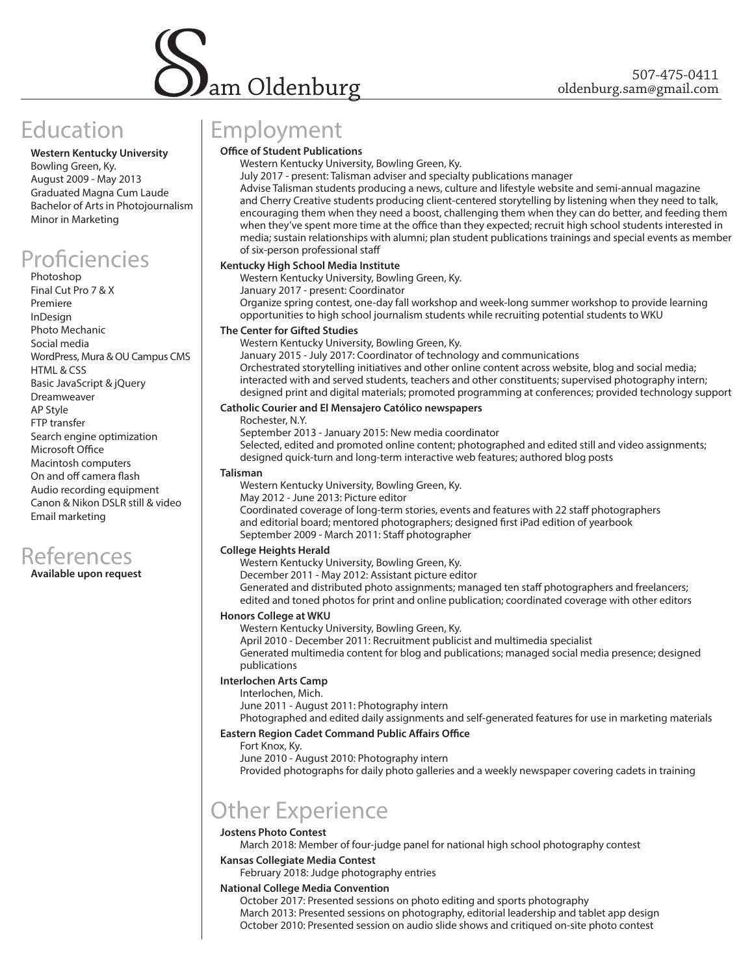

# Education

**Western Kentucky University** Bowling Green, Ky. August 2009 - May 2013 Graduated Magna Cum Laude Bachelor of Arts in Photojournalism Minor in Marketing

# Proficiencies

Photoshop Final Cut Pro 7 & X Premiere InDesign Photo Mechanic Social media WordPress, Mura & OU Campus CMS HTML & CSS Basic JavaScript & jQuery Dreamweaver AP Style FTP transfer Search engine optimization Microsoft Office Macintosh computers On and off camera flash Audio recording equipment Canon & Nikon DSLR still & video Email marketing



**Available upon request**

# Employment

### **Office of Student Publications**

Western Kentucky University, Bowling Green, Ky.

July 2017 - present: Talisman adviser and specialty publications manager Advise Talisman students producing a news, culture and lifestyle website and semi-annual magazine and Cherry Creative students producing client-centered storytelling by listening when they need to talk, encouraging them when they need a boost, challenging them when they can do better, and feeding them when they've spent more time at the office than they expected; recruit high school students interested in media; sustain relationships with alumni; plan student publications trainings and special events as member of six-person professional staff

#### **Kentucky High School Media Institute**

Western Kentucky University, Bowling Green, Ky.

January 2017 - present: Coordinator

Organize spring contest, one-day fall workshop and week-long summer workshop to provide learning opportunities to high school journalism students while recruiting potential students to WKU

#### **The Center for Gifted Studies**

Western Kentucky University, Bowling Green, Ky.

January 2015 - July 2017: Coordinator of technology and communications Orchestrated storytelling initiatives and other online content across website, blog and social media; interacted with and served students, teachers and other constituents; supervised photography intern; designed print and digital materials; promoted programming at conferences; provided technology support

#### **Catholic Courier and El Mensajero Católico newspapers**

Rochester, N.Y.

September 2013 - January 2015: New media coordinator Selected, edited and promoted online content; photographed and edited still and video assignments; designed quick-turn and long-term interactive web features; authored blog posts

#### **Talisman**

Western Kentucky University, Bowling Green, Ky.

May 2012 - June 2013: Picture editor Coordinated coverage of long-term stories, events and features with 22 staff photographers and editorial board; mentored photographers; designed first iPad edition of yearbook September 2009 - March 2011: Staff photographer

#### **College Heights Herald**

Western Kentucky University, Bowling Green, Ky.

December 2011 - May 2012: Assistant picture editor

Generated and distributed photo assignments; managed ten staff photographers and freelancers; edited and toned photos for print and online publication; coordinated coverage with other editors

## **Honors College at WKU**

Western Kentucky University, Bowling Green, Ky.

April 2010 - December 2011: Recruitment publicist and multimedia specialist

Generated multimedia content for blog and publications; managed social media presence; designed publications

### **Interlochen Arts Camp**

Interlochen, Mich.

June 2011 - August 2011: Photography intern

Photographed and edited daily assignments and self-generated features for use in marketing materials

#### **Eastern Region Cadet Command Public Affairs Office**

Fort Knox, Ky.

June 2010 - August 2010: Photography intern

Provided photographs for daily photo galleries and a weekly newspaper covering cadets in training

# Other Experience

## **Jostens Photo Contest**

March 2018: Member of four-judge panel for national high school photography contest

#### **Kansas Collegiate Media Contest**

February 2018: Judge photography entries

#### **National College Media Convention**

October 2017: Presented sessions on photo editing and sports photography March 2013: Presented sessions on photography, editorial leadership and tablet app design October 2010: Presented session on audio slide shows and critiqued on-site photo contest